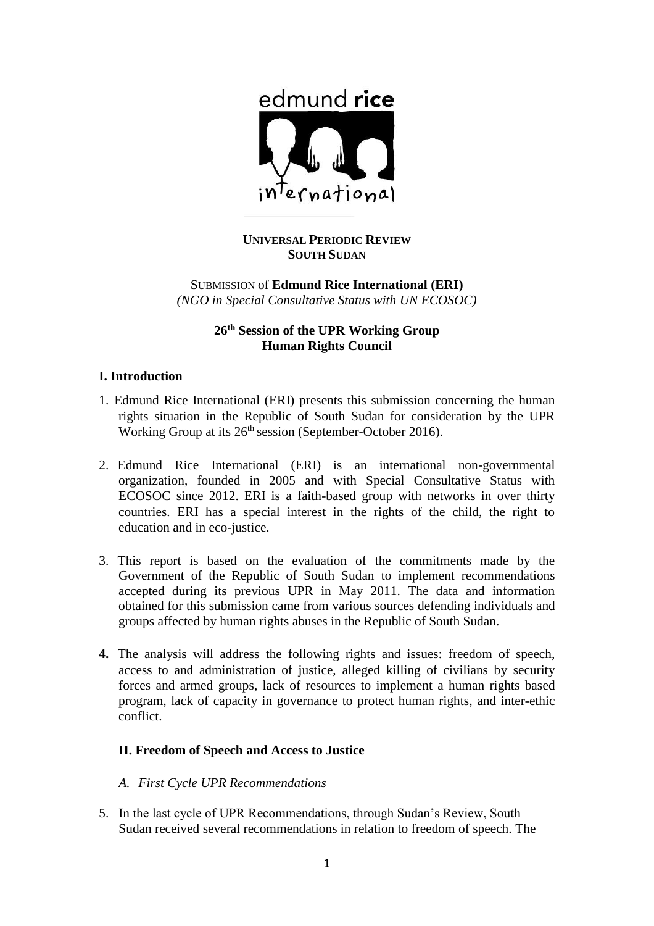

# **UNIVERSAL PERIODIC REVIEW SOUTH SUDAN**

SUBMISSION of **Edmund Rice International (ERI)** *(NGO in Special Consultative Status with UN ECOSOC)*

# **26th Session of the UPR Working Group Human Rights Council**

## **I. Introduction**

- 1. Edmund Rice International (ERI) presents this submission concerning the human rights situation in the Republic of South Sudan for consideration by the UPR Working Group at its 26<sup>th</sup> session (September-October 2016).
- 2. Edmund Rice International (ERI) is an international non-governmental organization, founded in 2005 and with Special Consultative Status with ECOSOC since 2012. ERI is a faith-based group with networks in over thirty countries. ERI has a special interest in the rights of the child, the right to education and in eco-justice.
- 3. This report is based on the evaluation of the commitments made by the Government of the Republic of South Sudan to implement recommendations accepted during its previous UPR in May 2011. The data and information obtained for this submission came from various sources defending individuals and groups affected by human rights abuses in the Republic of South Sudan.
- **4.** The analysis will address the following rights and issues: freedom of speech, access to and administration of justice, alleged killing of civilians by security forces and armed groups, lack of resources to implement a human rights based program, lack of capacity in governance to protect human rights, and inter-ethic conflict.

## **II. Freedom of Speech and Access to Justice**

- *A. First Cycle UPR Recommendations*
- 5. In the last cycle of UPR Recommendations, through Sudan's Review, South Sudan received several recommendations in relation to freedom of speech. The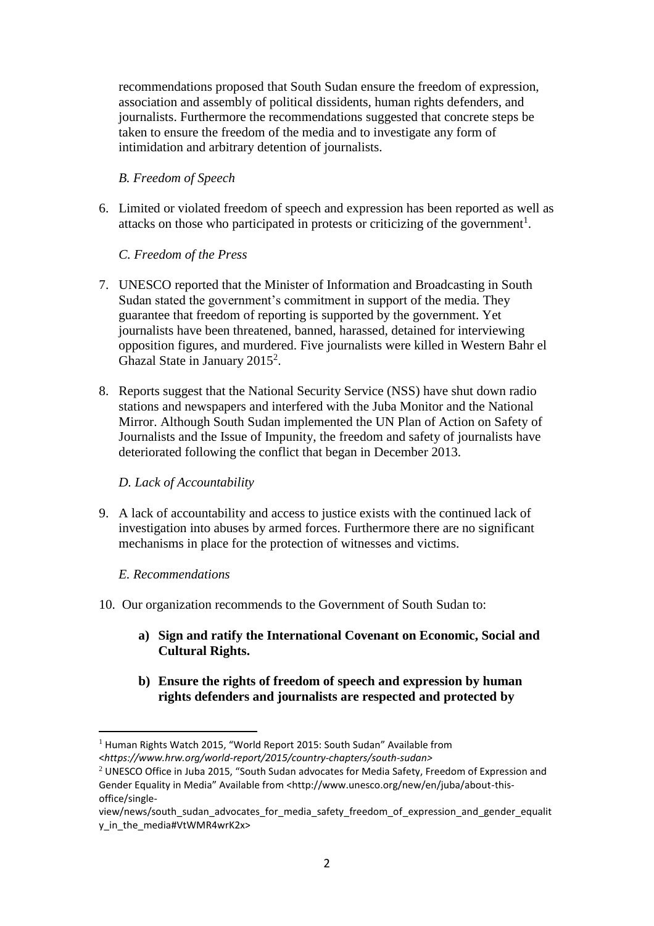recommendations proposed that South Sudan ensure the freedom of expression, association and assembly of political dissidents, human rights defenders, and journalists. Furthermore the recommendations suggested that concrete steps be taken to ensure the freedom of the media and to investigate any form of intimidation and arbitrary detention of journalists.

## *B. Freedom of Speech*

6. Limited or violated freedom of speech and expression has been reported as well as attacks on those who participated in protests or criticizing of the government<sup>1</sup>.

# *C. Freedom of the Press*

- 7. UNESCO reported that the Minister of Information and Broadcasting in South Sudan stated the government's commitment in support of the media. They guarantee that freedom of reporting is supported by the government. Yet journalists have been threatened, banned, harassed, detained for interviewing opposition figures, and murdered. Five journalists were killed in Western Bahr el Ghazal State in January 2015<sup>2</sup>.
- 8. Reports suggest that the National Security Service (NSS) have shut down radio stations and newspapers and interfered with the Juba Monitor and the National Mirror. Although South Sudan implemented the UN Plan of Action on Safety of Journalists and the Issue of Impunity, the freedom and safety of journalists have deteriorated following the conflict that began in December 2013.

## *D. Lack of Accountability*

9. A lack of accountability and access to justice exists with the continued lack of investigation into abuses by armed forces. Furthermore there are no significant mechanisms in place for the protection of witnesses and victims.

## *E. Recommendations*

- 10. Our organization recommends to the Government of South Sudan to:
	- **a) Sign and ratify the International Covenant on Economic, Social and Cultural Rights.**
	- **b) Ensure the rights of freedom of speech and expression by human rights defenders and journalists are respected and protected by**

l <sup>1</sup> Human Rights Watch 2015, "World Report 2015: South Sudan" Available from <*https://www.hrw.org/world-report/2015/country-chapters/south-sudan>*

 $2$  UNESCO Office in Juba 2015, "South Sudan advocates for Media Safety, Freedom of Expression and Gender Equality in Media" Available from <http://www.unesco.org/new/en/juba/about-thisoffice/single-

view/news/south\_sudan\_advocates\_for\_media\_safety\_freedom\_of\_expression\_and\_gender\_equalit y in the media#VtWMR4wrK2x>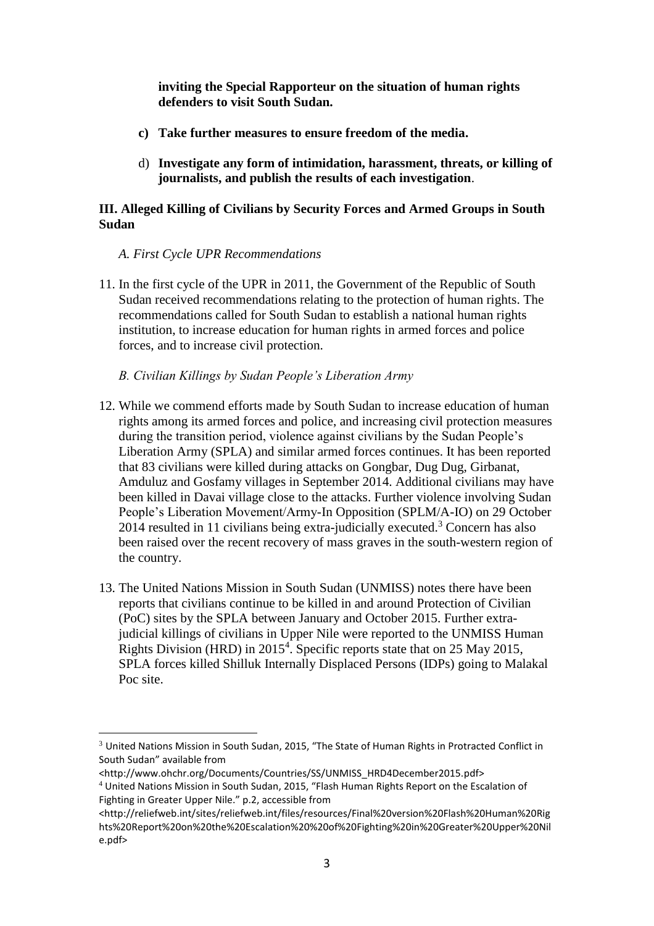**inviting the Special Rapporteur on the situation of human rights defenders to visit South Sudan.**

- **c) Take further measures to ensure freedom of the media.**
- d) **Investigate any form of intimidation, harassment, threats, or killing of journalists, and publish the results of each investigation**.

### **III. Alleged Killing of Civilians by Security Forces and Armed Groups in South Sudan**

- *A. First Cycle UPR Recommendations*
- 11. In the first cycle of the UPR in 2011, the Government of the Republic of South Sudan received recommendations relating to the protection of human rights. The recommendations called for South Sudan to establish a national human rights institution, to increase education for human rights in armed forces and police forces, and to increase civil protection.
	- *B. Civilian Killings by Sudan People's Liberation Army*
- 12. While we commend efforts made by South Sudan to increase education of human rights among its armed forces and police, and increasing civil protection measures during the transition period, violence against civilians by the Sudan People's Liberation Army (SPLA) and similar armed forces continues. It has been reported that 83 civilians were killed during attacks on Gongbar, Dug Dug, Girbanat, Amduluz and Gosfamy villages in September 2014. Additional civilians may have been killed in Davai village close to the attacks. Further violence involving Sudan People's Liberation Movement/Army-In Opposition (SPLM/A-IO) on 29 October 2014 resulted in 11 civilians being extra-judicially executed.<sup>3</sup> Concern has also been raised over the recent recovery of mass graves in the south-western region of the country.
- 13. The United Nations Mission in South Sudan (UNMISS) notes there have been reports that civilians continue to be killed in and around Protection of Civilian (PoC) sites by the SPLA between January and October 2015. Further extrajudicial killings of civilians in Upper Nile were reported to the UNMISS Human Rights Division (HRD) in 2015<sup>4</sup>. Specific reports state that on 25 May 2015, SPLA forces killed Shilluk Internally Displaced Persons (IDPs) going to Malakal Poc site.

 $\overline{a}$ <sup>3</sup> United Nations Mission in South Sudan, 2015, "The State of Human Rights in Protracted Conflict in South Sudan" available from

<sup>&</sup>lt;http://www.ohchr.org/Documents/Countries/SS/UNMISS\_HRD4December2015.pdf>

<sup>4</sup> United Nations Mission in South Sudan, 2015, "Flash Human Rights Report on the Escalation of Fighting in Greater Upper Nile." p.2, accessible from

<sup>&</sup>lt;http://reliefweb.int/sites/reliefweb.int/files/resources/Final%20version%20Flash%20Human%20Rig hts%20Report%20on%20the%20Escalation%20%20of%20Fighting%20in%20Greater%20Upper%20Nil e.pdf>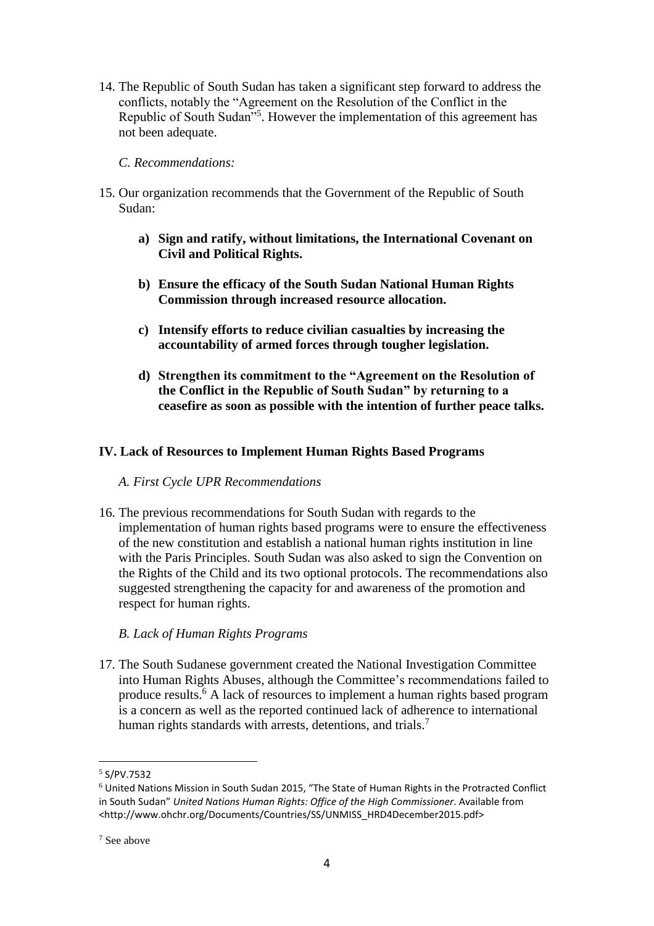14. The Republic of South Sudan has taken a significant step forward to address the conflicts, notably the "Agreement on the Resolution of the Conflict in the Republic of South Sudan<sup>15</sup>. However the implementation of this agreement has not been adequate.

#### *C. Recommendations:*

- 15. Our organization recommends that the Government of the Republic of South Sudan:
	- **a) Sign and ratify, without limitations, the International Covenant on Civil and Political Rights.**
	- **b) Ensure the efficacy of the South Sudan National Human Rights Commission through increased resource allocation.**
	- **c) Intensify efforts to reduce civilian casualties by increasing the accountability of armed forces through tougher legislation.**
	- **d) Strengthen its commitment to the "Agreement on the Resolution of the Conflict in the Republic of South Sudan" by returning to a ceasefire as soon as possible with the intention of further peace talks.**

#### **IV. Lack of Resources to Implement Human Rights Based Programs**

*A. First Cycle UPR Recommendations*

16. The previous recommendations for South Sudan with regards to the implementation of human rights based programs were to ensure the effectiveness of the new constitution and establish a national human rights institution in line with the Paris Principles. South Sudan was also asked to sign the Convention on the Rights of the Child and its two optional protocols. The recommendations also suggested strengthening the capacity for and awareness of the promotion and respect for human rights.

#### *B. Lack of Human Rights Programs*

17. The South Sudanese government created the National Investigation Committee into Human Rights Abuses, although the Committee's recommendations failed to produce results.<sup>6</sup> A lack of resources to implement a human rights based program is a concern as well as the reported continued lack of adherence to international human rights standards with arrests, detentions, and trials.<sup>7</sup>

l

 $<sup>5</sup>$  S/PV.7532</sup>

<sup>6</sup> United Nations Mission in South Sudan 2015, "The State of Human Rights in the Protracted Conflict in South Sudan" *United Nations Human Rights: Office of the High Commissioner*. Available from <http://www.ohchr.org/Documents/Countries/SS/UNMISS\_HRD4December2015.pdf>

<sup>7</sup> See above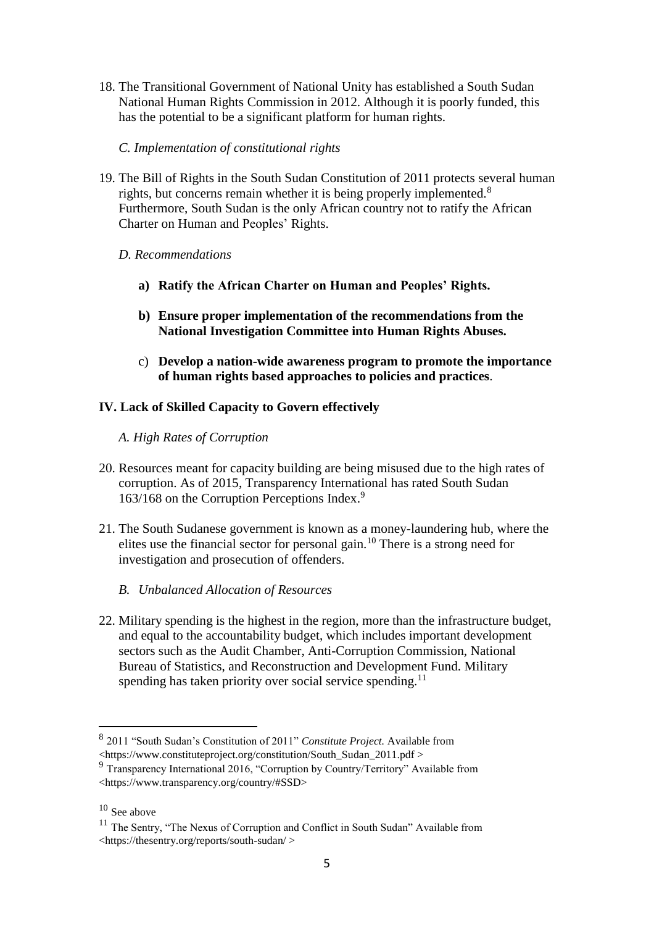- 18. The Transitional Government of National Unity has established a South Sudan National Human Rights Commission in 2012. Although it is poorly funded, this has the potential to be a significant platform for human rights.
	- *C. Implementation of constitutional rights*
- 19. The Bill of Rights in the South Sudan Constitution of 2011 protects several human rights, but concerns remain whether it is being properly implemented.<sup>8</sup> Furthermore, South Sudan is the only African country not to ratify the African Charter on Human and Peoples' Rights.
	- *D. Recommendations*
		- **a) Ratify the African Charter on Human and Peoples' Rights.**
		- **b) Ensure proper implementation of the recommendations from the National Investigation Committee into Human Rights Abuses.**
		- c) **Develop a nation-wide awareness program to promote the importance of human rights based approaches to policies and practices**.

### **IV. Lack of Skilled Capacity to Govern effectively**

- *A. High Rates of Corruption*
- 20. Resources meant for capacity building are being misused due to the high rates of corruption. As of 2015, Transparency International has rated South Sudan 163/168 on the Corruption Perceptions Index.<sup>9</sup>
- 21. The South Sudanese government is known as a money-laundering hub, where the elites use the financial sector for personal gain.<sup>10</sup> There is a strong need for investigation and prosecution of offenders.
	- *B. Unbalanced Allocation of Resources*
- 22. Military spending is the highest in the region, more than the infrastructure budget, and equal to the accountability budget, which includes important development sectors such as the Audit Chamber, Anti-Corruption Commission, National Bureau of Statistics, and Reconstruction and Development Fund. Military spending has taken priority over social service spending.<sup>11</sup>

 $\overline{a}$ 

<sup>8</sup> 2011 "South Sudan's Constitution of 2011" *Constitute Project.* Available from <https://www.constituteproject.org/constitution/South\_Sudan\_2011.pdf >

<sup>9</sup> Transparency International 2016, "Corruption by Country/Territory" Available from <https://www.transparency.org/country/#SSD>

 $10$  See above

<sup>&</sup>lt;sup>11</sup> The Sentry, "The Nexus of Corruption and Conflict in South Sudan" Available from <https://thesentry.org/reports/south-sudan/ >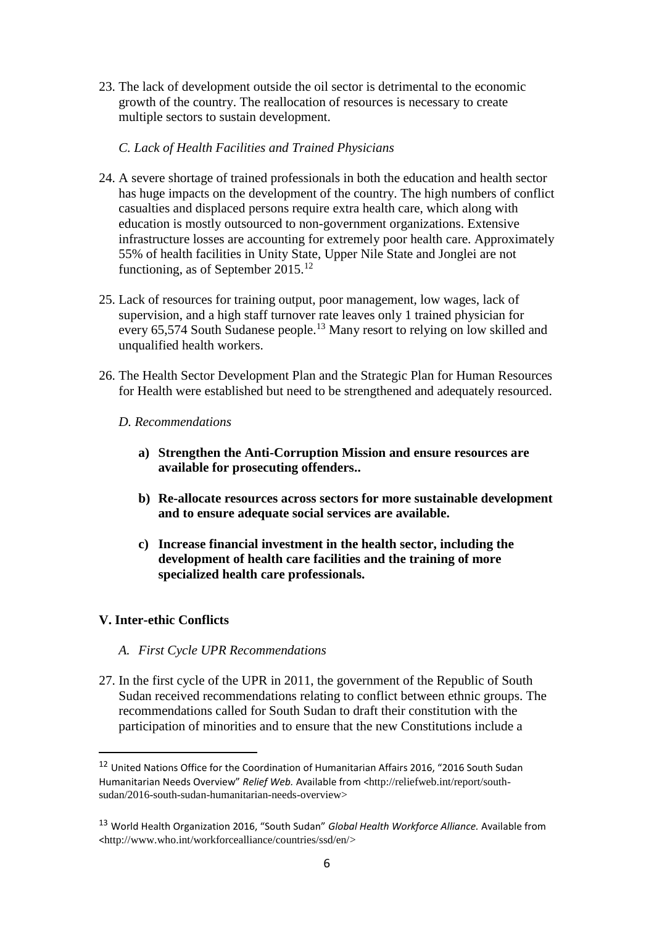23. The lack of development outside the oil sector is detrimental to the economic growth of the country. The reallocation of resources is necessary to create multiple sectors to sustain development.

### *C. Lack of Health Facilities and Trained Physicians*

- 24. A severe shortage of trained professionals in both the education and health sector has huge impacts on the development of the country. The high numbers of conflict casualties and displaced persons require extra health care, which along with education is mostly outsourced to non-government organizations. Extensive infrastructure losses are accounting for extremely poor health care. Approximately 55% of health facilities in Unity State, Upper Nile State and Jonglei are not functioning, as of September  $2015$ <sup>12</sup>
- 25. Lack of resources for training output, poor management, low wages, lack of supervision, and a high staff turnover rate leaves only 1 trained physician for every 65,574 South Sudanese people.<sup>13</sup> Many resort to relying on low skilled and unqualified health workers.
- 26. The Health Sector Development Plan and the Strategic Plan for Human Resources for Health were established but need to be strengthened and adequately resourced.
	- *D. Recommendations*
		- **a) Strengthen the Anti-Corruption Mission and ensure resources are available for prosecuting offenders..**
		- **b) Re-allocate resources across sectors for more sustainable development and to ensure adequate social services are available.**
		- **c) Increase financial investment in the health sector, including the development of health care facilities and the training of more specialized health care professionals.**

## **V. Inter-ethic Conflicts**

 $\overline{a}$ 

- *A. First Cycle UPR Recommendations*
- 27. In the first cycle of the UPR in 2011, the government of the Republic of South Sudan received recommendations relating to conflict between ethnic groups. The recommendations called for South Sudan to draft their constitution with the participation of minorities and to ensure that the new Constitutions include a

<sup>12</sup> United Nations Office for the Coordination of Humanitarian Affairs 2016, "2016 South Sudan Humanitarian Needs Overview" Relief Web. Available from <http://reliefweb.int/report/southsudan/2016-south-sudan-humanitarian-needs-overview>

<sup>13</sup> World Health Organization 2016, "South Sudan" *Global Health Workforce Alliance.* Available from <http://www.who.int/workforcealliance/countries/ssd/en/>